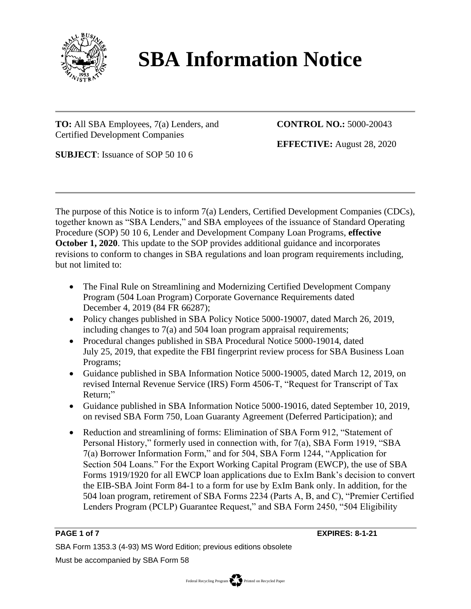

# **SBA Information Notice**

**TO:** All SBA Employees, 7(a) Lenders, and Certified Development Companies

**CONTROL NO.:** 5000-20043

**EFFECTIVE:** August 28, 2020

**SUBJECT**: Issuance of SOP 50 10 6

The purpose of this Notice is to inform 7(a) Lenders, Certified Development Companies (CDCs), together known as "SBA Lenders," and SBA employees of the issuance of Standard Operating Procedure (SOP) 50 10 6, Lender and Development Company Loan Programs, **effective October 1, 2020**. This update to the SOP provides additional guidance and incorporates revisions to conform to changes in SBA regulations and loan program requirements including, but not limited to:

- The Final Rule on Streamlining and Modernizing Certified Development Company Program (504 Loan Program) Corporate Governance Requirements dated December 4, 2019 (84 FR 66287);
- Policy changes published in SBA Policy Notice 5000-19007, dated March 26, 2019, including changes to 7(a) and 504 loan program appraisal requirements;
- Procedural changes published in SBA Procedural Notice 5000-19014, dated July 25, 2019, that expedite the FBI fingerprint review process for SBA Business Loan Programs;
- Guidance published in SBA Information Notice 5000-19005, dated March 12, 2019, on revised Internal Revenue Service (IRS) Form 4506-T, "Request for Transcript of Tax Return;"
- Guidance published in SBA Information Notice 5000-19016, dated September 10, 2019, on revised SBA Form 750, Loan Guaranty Agreement (Deferred Participation); and
- Reduction and streamlining of forms: Elimination of SBA Form 912, "Statement of Personal History," formerly used in connection with, for 7(a), SBA Form 1919, "SBA 7(a) Borrower Information Form," and for 504, SBA Form 1244, "Application for Section 504 Loans." For the Export Working Capital Program (EWCP), the use of SBA Forms 1919/1920 for all EWCP loan applications due to ExIm Bank's decision to convert the EIB-SBA Joint Form 84-1 to a form for use by ExIm Bank only. In addition, for the 504 loan program, retirement of SBA Forms 2234 (Parts A, B, and C), "Premier Certified Lenders Program (PCLP) Guarantee Request," and SBA Form 2450, "504 Eligibility

**PAGE 1 of 7 EXPIRES: 8-1-21**

SBA Form 1353.3 (4-93) MS Word Edition; previous editions obsolete

Must be accompanied by SBA Form 58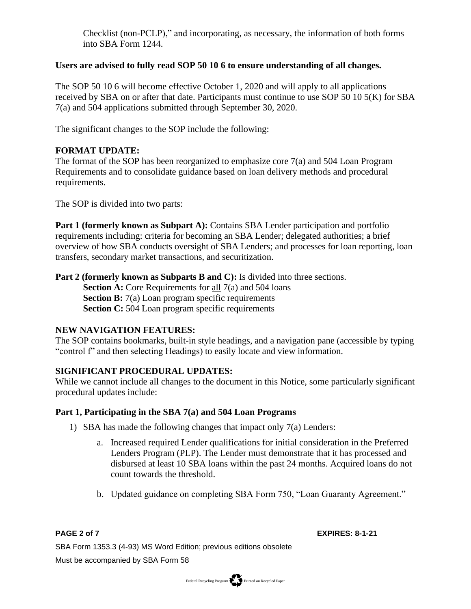Checklist (non-PCLP)," and incorporating, as necessary, the information of both forms into SBA Form 1244.

### **Users are advised to fully read SOP 50 10 6 to ensure understanding of all changes.**

The SOP 50 10 6 will become effective October 1, 2020 and will apply to all applications received by SBA on or after that date. Participants must continue to use SOP 50 10 5(K) for SBA 7(a) and 504 applications submitted through September 30, 2020.

The significant changes to the SOP include the following:

# **FORMAT UPDATE:**

The format of the SOP has been reorganized to emphasize core 7(a) and 504 Loan Program Requirements and to consolidate guidance based on loan delivery methods and procedural requirements.

The SOP is divided into two parts:

**Part 1 (formerly known as Subpart A):** Contains SBA Lender participation and portfolio requirements including: criteria for becoming an SBA Lender; delegated authorities; a brief overview of how SBA conducts oversight of SBA Lenders; and processes for loan reporting, loan transfers, secondary market transactions, and securitization.

**Part 2 (formerly known as Subparts B and C):** Is divided into three sections.

**Section A:** Core Requirements for all 7(a) and 504 loans **Section B:** 7(a) Loan program specific requirements **Section C:** 504 Loan program specific requirements

# **NEW NAVIGATION FEATURES:**

The SOP contains bookmarks, built-in style headings, and a navigation pane (accessible by typing "control f" and then selecting Headings) to easily locate and view information.

# **SIGNIFICANT PROCEDURAL UPDATES:**

While we cannot include all changes to the document in this Notice, some particularly significant procedural updates include:

# **Part 1, Participating in the SBA 7(a) and 504 Loan Programs**

- 1) SBA has made the following changes that impact only 7(a) Lenders:
	- a. Increased required Lender qualifications for initial consideration in the Preferred Lenders Program (PLP). The Lender must demonstrate that it has processed and disbursed at least 10 SBA loans within the past 24 months. Acquired loans do not count towards the threshold.
	- b. Updated guidance on completing SBA Form 750, "Loan Guaranty Agreement."

**PAGE 2 of 7 EXPIRES: 8-1-21**

SBA Form 1353.3 (4-93) MS Word Edition; previous editions obsolete Must be accompanied by SBA Form 58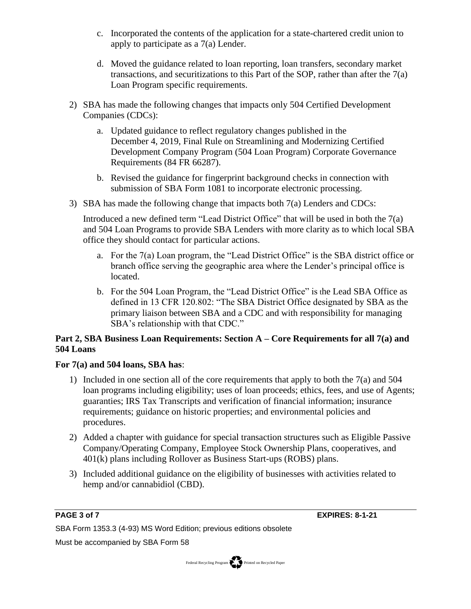- c. Incorporated the contents of the application for a state-chartered credit union to apply to participate as a 7(a) Lender.
- d. Moved the guidance related to loan reporting, loan transfers, secondary market transactions, and securitizations to this Part of the SOP, rather than after the 7(a) Loan Program specific requirements.
- 2) SBA has made the following changes that impacts only 504 Certified Development Companies (CDCs):
	- a. Updated guidance to reflect regulatory changes published in the December 4, 2019, Final Rule on Streamlining and Modernizing Certified Development Company Program (504 Loan Program) Corporate Governance Requirements (84 FR 66287).
	- b. Revised the guidance for fingerprint background checks in connection with submission of SBA Form 1081 to incorporate electronic processing.
- 3) SBA has made the following change that impacts both 7(a) Lenders and CDCs:

Introduced a new defined term "Lead District Office" that will be used in both the 7(a) and 504 Loan Programs to provide SBA Lenders with more clarity as to which local SBA office they should contact for particular actions.

- a. For the 7(a) Loan program, the "Lead District Office" is the SBA district office or branch office serving the geographic area where the Lender's principal office is located.
- b. For the 504 Loan Program, the "Lead District Office" is the Lead SBA Office as defined in 13 CFR 120.802: "The SBA District Office designated by SBA as the primary liaison between SBA and a CDC and with responsibility for managing SBA's relationship with that CDC."

# **Part 2, SBA Business Loan Requirements: Section A – Core Requirements for all 7(a) and 504 Loans**

# **For 7(a) and 504 loans, SBA has**:

- 1) Included in one section all of the core requirements that apply to both the 7(a) and 504 loan programs including eligibility; uses of loan proceeds; ethics, fees, and use of Agents; guaranties; IRS Tax Transcripts and verification of financial information; insurance requirements; guidance on historic properties; and environmental policies and procedures.
- 2) Added a chapter with guidance for special transaction structures such as Eligible Passive Company/Operating Company, Employee Stock Ownership Plans, cooperatives, and 401(k) plans including Rollover as Business Start-ups (ROBS) plans.
- 3) Included additional guidance on the eligibility of businesses with activities related to hemp and/or cannabidiol (CBD).

**PAGE 3 of 7 EXPIRES: 8-1-21**

SBA Form 1353.3 (4-93) MS Word Edition; previous editions obsolete

Must be accompanied by SBA Form 58

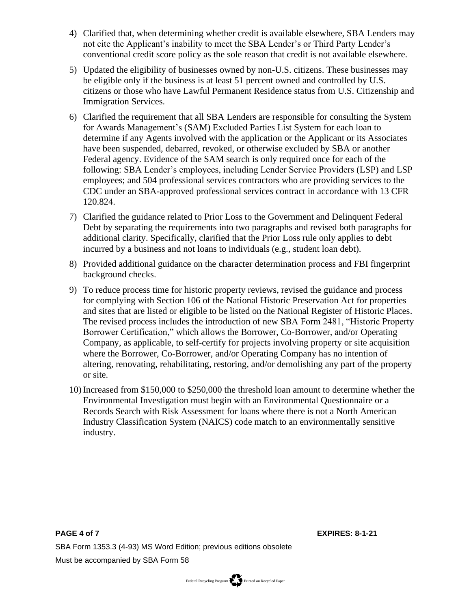- 4) Clarified that, when determining whether credit is available elsewhere, SBA Lenders may not cite the Applicant's inability to meet the SBA Lender's or Third Party Lender's conventional credit score policy as the sole reason that credit is not available elsewhere.
- 5) Updated the eligibility of businesses owned by non-U.S. citizens. These businesses may be eligible only if the business is at least 51 percent owned and controlled by U.S. citizens or those who have Lawful Permanent Residence status from U.S. Citizenship and Immigration Services.
- 6) Clarified the requirement that all SBA Lenders are responsible for consulting the System for Awards Management's (SAM) Excluded Parties List System for each loan to determine if any Agents involved with the application or the Applicant or its Associates have been suspended, debarred, revoked, or otherwise excluded by SBA or another Federal agency. Evidence of the SAM search is only required once for each of the following: SBA Lender's employees, including Lender Service Providers (LSP) and LSP employees; and 504 professional services contractors who are providing services to the CDC under an SBA-approved professional services contract in accordance with 13 CFR 120.824.
- 7) Clarified the guidance related to Prior Loss to the Government and Delinquent Federal Debt by separating the requirements into two paragraphs and revised both paragraphs for additional clarity. Specifically, clarified that the Prior Loss rule only applies to debt incurred by a business and not loans to individuals (e.g., student loan debt).
- 8) Provided additional guidance on the character determination process and FBI fingerprint background checks.
- 9) To reduce process time for historic property reviews, revised the guidance and process for complying with Section 106 of the National Historic Preservation Act for properties and sites that are listed or eligible to be listed on the National Register of Historic Places. The revised process includes the introduction of new SBA Form 2481, "Historic Property Borrower Certification," which allows the Borrower, Co-Borrower, and/or Operating Company, as applicable, to self-certify for projects involving property or site acquisition where the Borrower, Co-Borrower, and/or Operating Company has no intention of altering, renovating, rehabilitating, restoring, and/or demolishing any part of the property or site.
- 10) Increased from \$150,000 to \$250,000 the threshold loan amount to determine whether the Environmental Investigation must begin with an Environmental Questionnaire or a Records Search with Risk Assessment for loans where there is not a North American Industry Classification System (NAICS) code match to an environmentally sensitive industry.

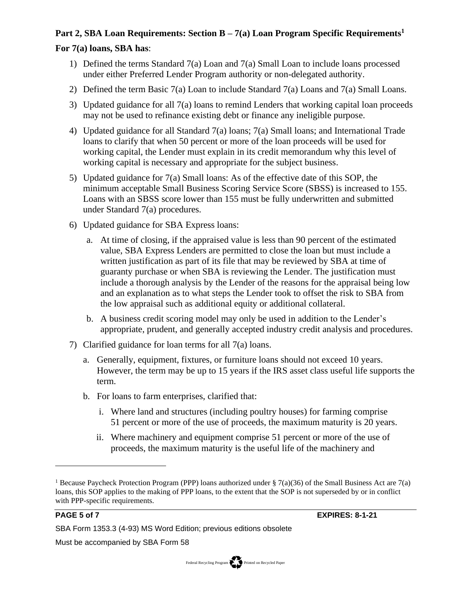# **Part 2, SBA Loan Requirements: Section B – 7(a) Loan Program Specific Requirements<sup>1</sup>**

# **For 7(a) loans, SBA has**:

- 1) Defined the terms Standard 7(a) Loan and 7(a) Small Loan to include loans processed under either Preferred Lender Program authority or non-delegated authority.
- 2) Defined the term Basic 7(a) Loan to include Standard 7(a) Loans and 7(a) Small Loans.
- 3) Updated guidance for all 7(a) loans to remind Lenders that working capital loan proceeds may not be used to refinance existing debt or finance any ineligible purpose.
- 4) Updated guidance for all Standard 7(a) loans; 7(a) Small loans; and International Trade loans to clarify that when 50 percent or more of the loan proceeds will be used for working capital, the Lender must explain in its credit memorandum why this level of working capital is necessary and appropriate for the subject business.
- 5) Updated guidance for 7(a) Small loans: As of the effective date of this SOP, the minimum acceptable Small Business Scoring Service Score (SBSS) is increased to 155. Loans with an SBSS score lower than 155 must be fully underwritten and submitted under Standard 7(a) procedures.
- 6) Updated guidance for SBA Express loans:
	- a. At time of closing, if the appraised value is less than 90 percent of the estimated value, SBA Express Lenders are permitted to close the loan but must include a written justification as part of its file that may be reviewed by SBA at time of guaranty purchase or when SBA is reviewing the Lender. The justification must include a thorough analysis by the Lender of the reasons for the appraisal being low and an explanation as to what steps the Lender took to offset the risk to SBA from the low appraisal such as additional equity or additional collateral.
	- b. A business credit scoring model may only be used in addition to the Lender's appropriate, prudent, and generally accepted industry credit analysis and procedures.
- 7) Clarified guidance for loan terms for all 7(a) loans.
	- a. Generally, equipment, fixtures, or furniture loans should not exceed 10 years. However, the term may be up to 15 years if the IRS asset class useful life supports the term.
	- b. For loans to farm enterprises, clarified that:
		- i. Where land and structures (including poultry houses) for farming comprise 51 percent or more of the use of proceeds, the maximum maturity is 20 years.
		- ii. Where machinery and equipment comprise 51 percent or more of the use of proceeds, the maximum maturity is the useful life of the machinery and

**PAGE 5 of 7 EXPIRES: 8-1-21**

SBA Form 1353.3 (4-93) MS Word Edition; previous editions obsolete

Must be accompanied by SBA Form 58



<sup>&</sup>lt;sup>1</sup> Because Paycheck Protection Program (PPP) loans authorized under § 7(a)(36) of the Small Business Act are 7(a) loans, this SOP applies to the making of PPP loans, to the extent that the SOP is not superseded by or in conflict with PPP-specific requirements.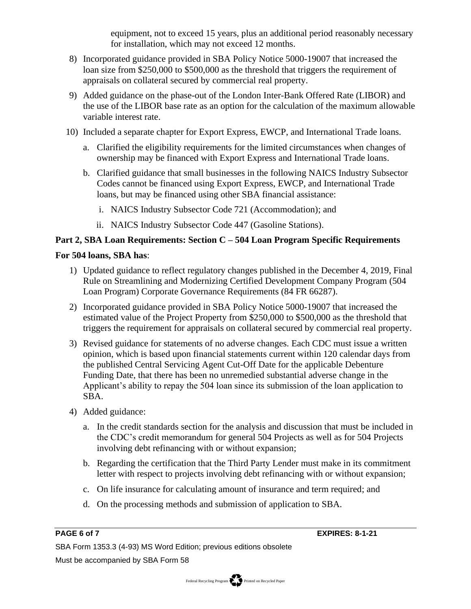equipment, not to exceed 15 years, plus an additional period reasonably necessary for installation, which may not exceed 12 months.

- 8) Incorporated guidance provided in SBA Policy Notice 5000-19007 that increased the loan size from \$250,000 to \$500,000 as the threshold that triggers the requirement of appraisals on collateral secured by commercial real property.
- 9) Added guidance on the phase-out of the London Inter-Bank Offered Rate (LIBOR) and the use of the LIBOR base rate as an option for the calculation of the maximum allowable variable interest rate.
- 10) Included a separate chapter for Export Express, EWCP, and International Trade loans.
	- a. Clarified the eligibility requirements for the limited circumstances when changes of ownership may be financed with Export Express and International Trade loans.
	- b. Clarified guidance that small businesses in the following NAICS Industry Subsector Codes cannot be financed using Export Express, EWCP, and International Trade loans, but may be financed using other SBA financial assistance:
		- i. NAICS Industry Subsector Code 721 (Accommodation); and
		- ii. NAICS Industry Subsector Code 447 (Gasoline Stations).

# **Part 2, SBA Loan Requirements: Section C – 504 Loan Program Specific Requirements**

# **For 504 loans, SBA has**:

- 1) Updated guidance to reflect regulatory changes published in the December 4, 2019, Final Rule on Streamlining and Modernizing Certified Development Company Program (504 Loan Program) Corporate Governance Requirements (84 FR 66287).
- 2) Incorporated guidance provided in SBA Policy Notice 5000-19007 that increased the estimated value of the Project Property from \$250,000 to \$500,000 as the threshold that triggers the requirement for appraisals on collateral secured by commercial real property.
- 3) Revised guidance for statements of no adverse changes. Each CDC must issue a written opinion, which is based upon financial statements current within 120 calendar days from the published Central Servicing Agent Cut-Off Date for the applicable Debenture Funding Date, that there has been no unremedied substantial adverse change in the Applicant's ability to repay the 504 loan since its submission of the loan application to SBA.
- 4) Added guidance:
	- a. In the credit standards section for the analysis and discussion that must be included in the CDC's credit memorandum for general 504 Projects as well as for 504 Projects involving debt refinancing with or without expansion;
	- b. Regarding the certification that the Third Party Lender must make in its commitment letter with respect to projects involving debt refinancing with or without expansion;
	- c. On life insurance for calculating amount of insurance and term required; and
	- d. On the processing methods and submission of application to SBA.

SBA Form 1353.3 (4-93) MS Word Edition; previous editions obsolete Must be accompanied by SBA Form 58